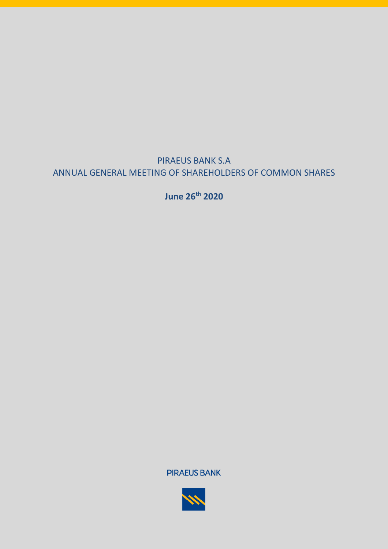

**June 26 th 2020**

**PIRAEUS BANK** 

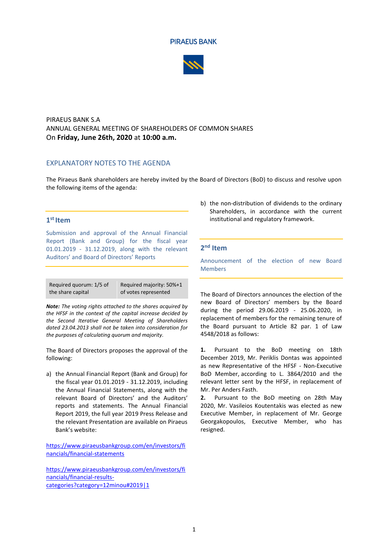#### **PIRAEUS BANK**



### PIRAEUS BANK S.A ANNUAL GENERAL MEETING OF SHAREHOLDERS OF COMMON SHARES On **Friday, June 26th, 2020** at **10:00 a.m.**

#### EXPLANATORY NOTES TO THE AGENDA

The Piraeus Bank shareholders are hereby invited by the Board of Directors (BoD) to discuss and resolve upon the following items of the agenda:

### **1 st Item**

Submission and approval of the Annual Financial Report (Bank and Group) for the fiscal year 01.01.2019 - 31.12.2019, along with the relevant Auditors' and Board of Directors' Reports

Required quorum: 1/5 of the share capital Required majority: 50%+1 of votes represented

*Note: The voting rights attached to the shares acquired by the HFSF in the context of the capital increase decided by the Second Iterative General Meeting of Shareholders dated 23.04.2013 shall not be taken into consideration for the purposes of calculating quorum and majority.*

The Board of Directors proposes the approval of the following:

a) the Annual Financial Report (Bank and Group) for the fiscal year 01.01.2019 - 31.12.2019, including the Annual Financial Statements, along with the relevant Board of Directors' and the Auditors' reports and statements. The Annual Financial Report 2019, the full year 2019 Press Release and the relevant Presentation are available on Piraeus Bank's website:

[https://www.piraeusbankgroup.com/en/investors/fi](https://www.piraeusbankgroup.com/en/investors/financials/financial-statements) [nancials/financial-statements](https://www.piraeusbankgroup.com/en/investors/financials/financial-statements)

[https://www.piraeusbankgroup.com/en/investors/fi](https://www.piraeusbankgroup.com/en/investors/financials/financial-results-categories?category=12minou#2019|1) [nancials/financial-results](https://www.piraeusbankgroup.com/en/investors/financials/financial-results-categories?category=12minou#2019|1)[categories?category=12minou#2019|1](https://www.piraeusbankgroup.com/en/investors/financials/financial-results-categories?category=12minou#2019|1)

b) the non-distribution of dividends to the ordinary Shareholders, in accordance with the current institutional and regulatory framework.

### **2 nd Item**

Announcement of the election of new Board Members

The Board of Directors announces the election of the new Board of Directors' members by the Board during the period 29.06.2019 - 25.06.2020, in replacement of members for the remaining tenure of the Board pursuant to Article 82 par. 1 of Law 4548/2018 as follows:

**1.** Pursuant to the BoD meeting on 18th December 2019, Mr. Periklis Dontas was appointed as new Representative of the HFSF - Non-Executive BoD Member, according to L. 3864/2010 and the relevant letter sent by the HFSF, in replacement of Mr. Per Anders Fasth.

**2.** Pursuant to the BoD meeting on 28th May 2020, Mr. Vasileios Koutentakis was elected as new Executive Member, in replacement of Mr. George Georgakopoulos, Executive Member, who has resigned.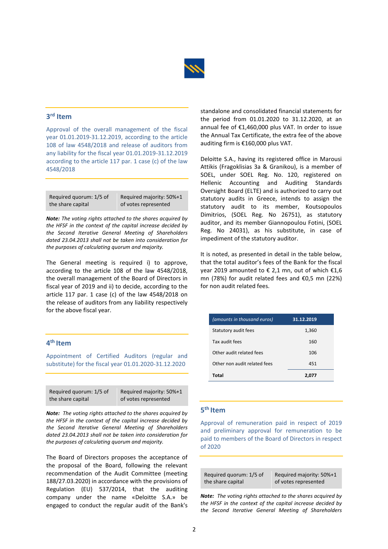

## **3 rd Item**

Approval of the overall management of the fiscal year 01.01.2019-31.12.2019, according to the article 108 of law 4548/2018 and release of auditors from any liability for the fiscal year 01.01.2019-31.12.2019 according to the article 117 par. 1 case (c) of the law 4548/2018

| Required quorum: 1/5 of | Required majority: 50%+1 |
|-------------------------|--------------------------|
| the share capital       | of votes represented     |

*Note: The voting rights attached to the shares acquired by the HFSF in the context of the capital increase decided by the Second Iterative General Meeting of Shareholders dated 23.04.2013 shall not be taken into consideration for the purposes of calculating quorum and majority.*

The General meeting is required i) to approve, according to the article 108 of the law 4548/2018, the overall management of the Board of Directors in fiscal year of 2019 and ii) to decide, according to the article 117 par. 1 case (c) of the law 4548/2018 on the release of auditors from any liability respectively for the above fiscal year.

### **4 th Item**

Appointment of Certified Auditors (regular and substitute) for the fiscal year 01.01.2020-31.12.2020

| Required quorum: 1/5 of | Required majority: 50%+1 |
|-------------------------|--------------------------|
| the share capital       | of votes represented     |

*Note: The voting rights attached to the shares acquired by the HFSF in the context of the capital increase decided by the Second Iterative General Meeting of Shareholders dated 23.04.2013 shall not be taken into consideration for the purposes of calculating quorum and majority.*

The Board of Directors proposes the acceptance of the proposal of the Board, following the relevant recommendation of the Audit Committee (meeting 188/27.03.2020) in accordance with the provisions of Regulation (EU) 537/2014, that the auditing company under the name «Deloitte S.A.» be engaged to conduct the regular audit of the Bank's standalone and consolidated financial statements for the period from 01.01.2020 to 31.12.2020, at an annual fee of €1,460,000 plus VAT. In order to issue the Annual Tax Certificate, the extra fee of the above auditing firm is €160,000 plus VAT.

Deloitte S.A., having its registered office in Marousi Attikis (Fragoklisias 3a & Granikou), is a member of SOEL, under SOEL Reg. No. 120, registered on Hellenic Accounting and Auditing Standards Oversight Board (ELTE) and is authorized to carry out statutory audits in Greece, intends to assign the statutory audit to its member, Koutsopoulos Dimitrios, (SOEL Reg. No 26751), as statutory auditor, and its member Giannopoulou Fotini, (SOEL Reg. No 24031), as his substitute, in case of impediment of the statutory auditor.

It is noted, as presented in detail in the table below, that the total auditor's fees of the Bank for the fiscal year 2019 amounted to € 2,1 mn, out of which  $€1,6$ mn (78%) for audit related fees and €0,5 mn (22%) for non audit related fees.

| (amounts in thousand euros)  | 31.12.2019 |
|------------------------------|------------|
| Statutory audit fees         | 1,360      |
| Tax audit fees               | 160        |
| Other audit related fees     | 106        |
| Other non audit related fees | 451        |
| Total                        | 2.077      |

### **5 th Item**

Approval of remuneration paid in respect of 2019 and preliminary approval for remuneration to be paid to members of the Board of Directors in respect of 2020

| Required quorum: 1/5 of | Required majority: 50%+1 |
|-------------------------|--------------------------|
| the share capital       | of votes represented     |

*Note: The voting rights attached to the shares acquired by the HFSF in the context of the capital increase decided by the Second Iterative General Meeting of Shareholders*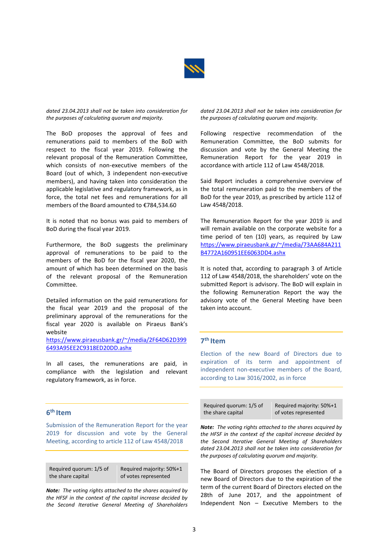

*dated 23.04.2013 shall not be taken into consideration for the purposes of calculating quorum and majority.*

The BoD proposes the approval of fees and remunerations paid to members of the BoD with respect to the fiscal year 2019. Following the relevant proposal of the Remuneration Committee, which consists of non-executive members of the Board (out of which, 3 independent non-executive members), and having taken into consideration the applicable legislative and regulatory framework, as in force, the total net fees and remunerations for all members of the Board amounted to €784,534.60

It is noted that no bonus was paid to members of BoD during the fiscal year 2019.

Furthermore, the BoD suggests the preliminary approval of remunerations to be paid to the members of the BoD for the fiscal year 2020, the amount of which has been determined on the basis of the relevant proposal of the Remuneration Committee.

Detailed information on the paid remunerations for the fiscal year 2019 and the proposal of the preliminary approval of the remunerations for the fiscal year 2020 is available on Piraeus Bank's website

[https://www.piraeusbank.gr/~/media/2F64D62D399](https://www.piraeusbank.gr/~/media/2F64D62D3996493A95EE2C9318ED20DD.ashx) [6493A95EE2C9318ED20DD.ashx](https://www.piraeusbank.gr/~/media/2F64D62D3996493A95EE2C9318ED20DD.ashx)

In all cases, the remunerations are paid, in compliance with the legislation and relevant regulatory framework, as in force.

### **6 th Item**

Submission of the Remuneration Report for the year 2019 for discussion and vote by the General Meeting, according to article 112 of Law 4548/2018

Required quorum: 1/5 of the share capital

Required majority: 50%+1 of votes represented

*Note: The voting rights attached to the shares acquired by the HFSF in the context of the capital increase decided by the Second Iterative General Meeting of Shareholders*  *dated 23.04.2013 shall not be taken into consideration for the purposes of calculating quorum and majority.*

Following respective recommendation of the Remuneration Committee, the BoD submits for discussion and vote by the General Meeting the Remuneration Report for the year 2019 in accordance with article 112 of Law 4548/2018.

Said Report includes a comprehensive overview of the total remuneration paid to the members of the BoD for the year 2019, as prescribed by article 112 of Law 4548/2018.

The Remuneration Report for the year 2019 is and will remain available on the corporate website for a time period of ten (10) years, as required by Law [https://www.piraeusbank.gr/~/media/73AA684A211](https://www.piraeusbank.gr/~/media/73AA684A211B4772A160951EE6063DD4.ashx) [B4772A160951EE6063DD4.ashx](https://www.piraeusbank.gr/~/media/73AA684A211B4772A160951EE6063DD4.ashx)

It is noted that, according to paragraph 3 of Article 112 of Law 4548/2018, the shareholders' vote on the submitted Report is advisory. The BoD will explain in the following Remuneration Report the way the advisory vote of the General Meeting have been taken into account.

### **7 th Item**

Election of the new Board of Directors due to expiration of its term and appointment of independent non-executive members of the Board, according to Law 3016/2002, as in force

| Required guorum: 1/5 of | Required majority: 50%+1 |
|-------------------------|--------------------------|
| the share capital       | of votes represented     |

*Note: The voting rights attached to the shares acquired by the HFSF in the context of the capital increase decided by the Second Iterative General Meeting of Shareholders dated 23.04.2013 shall not be taken into consideration for the purposes of calculating quorum and majority.*

The Board of Directors proposes the election of a new Board of Directors due to the expiration of the term of the current Board of Directors elected on the 28th of June 2017, and the appointment of Independent Non – Executive Members to the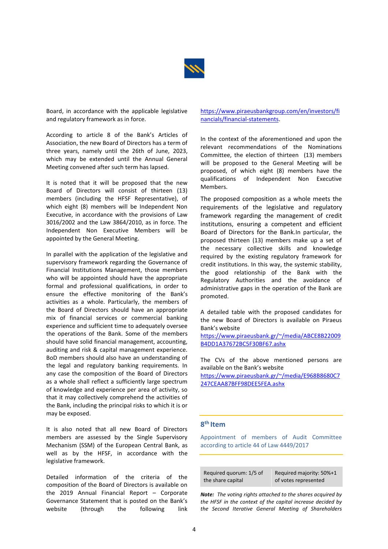

Board, in accordance with the applicable legislative and regulatory framework as in force.

According to article 8 of the Bank's Articles of Association, the new Board of Directors has a term of three years, namely until the 26th of June, 2023, which may be extended until the Annual General Meeting convened after such term has lapsed.

It is noted that it will be proposed that the new Board of Directors will consist of thirteen (13) members (including the HFSF Representative), of which eight (8) members will be Independent Non Executive, in accordance with the provisions of Law 3016/2002 and the Law 3864/2010, as in force. The Independent Non Executive Members will be appointed by the General Meeting.

In parallel with the application of the legislative and supervisory framework regarding the Governance of Financial Institutions Management, those members who will be appointed should have the appropriate formal and professional qualifications, in order to ensure the effective monitoring of the Bank's activities as a whole. Particularly, the members of the Board of Directors should have an appropriate mix of financial services or commercial banking experience and sufficient time to adequately oversee the operations of the Bank. Some of the members should have solid financial management, accounting, auditing and risk & capital management experience. BoD members should also have an understanding of the legal and regulatory banking requirements. In any case the composition of the Board of Directors as a whole shall reflect a sufficiently large spectrum of knowledge and experience per area of activity, so that it may collectively comprehend the activities of the Bank, including the principal risks to which it is or may be exposed.

It is also noted that all new Board of Directors members are assessed by the Single Supervisory Mechanism (SSM) of the European Central Bank, as well as by the HFSF, in accordance with the legislative framework.

Detailed information of the criteria of the composition of the Board of Directors is available on the 2019 Annual Financial Report – Corporate Governance Statement that is posted on the Bank's website (through the following link

#### [https://www.piraeusbankgroup.com/en/investors/fi](https://www.piraeusbankgroup.com/en/investors/financials/financial-statements) [nancials/financial-statements.](https://www.piraeusbankgroup.com/en/investors/financials/financial-statements)

In the context of the aforementioned and upon the relevant recommendations of the Nominations Committee, the election of thirteen (13) members will be proposed to the General Meeting will be proposed, of which eight (8) members have the qualifications of Independent Non Executive Members.

The proposed composition as a whole meets the requirements of the legislative and regulatory framework regarding the management of credit institutions, ensuring a competent and efficient Board of Directors for the Bank.In particular, the proposed thirteen (13) members make up a set of the necessary collective skills and knowledge required by the existing regulatory framework for credit institutions. In this way, the systemic stability, the good relationship of the Bank with the Regulatory Authorities and the avoidance of administrative gaps in the operation of the Bank are promoted.

A detailed table with the proposed candidates for the new Board of Directors is available on Piraeus Bank's website

[https://www.piraeusbank.gr/~/media/ABCE8B22009](https://www.piraeusbank.gr/~/media/ABCE8B22009B4DD1A37672BC5F30BF67.ashx) [B4DD1A37672BC5F30BF67.ashx](https://www.piraeusbank.gr/~/media/ABCE8B22009B4DD1A37672BC5F30BF67.ashx)

The CVs of the above mentioned persons are available on the Bank's website

[https://www.piraeusbank.gr/~/media/E968B8680C7](https://www.piraeusbank.gr/~/media/E968B8680C7247CEAA87BFF98DEE5FEA.ashx) [247CEAA87BFF98DEE5FEA.ashx](https://www.piraeusbank.gr/~/media/E968B8680C7247CEAA87BFF98DEE5FEA.ashx)

### **8 th Item**

Appointment of members of Audit Committee according to article 44 of Law 4449/2017

| Required quorum: 1/5 of | Required majority: 50%+1 |
|-------------------------|--------------------------|
| the share capital       | of votes represented     |

*Note: The voting rights attached to the shares acquired by the HFSF in the context of the capital increase decided by the Second Iterative General Meeting of Shareholders*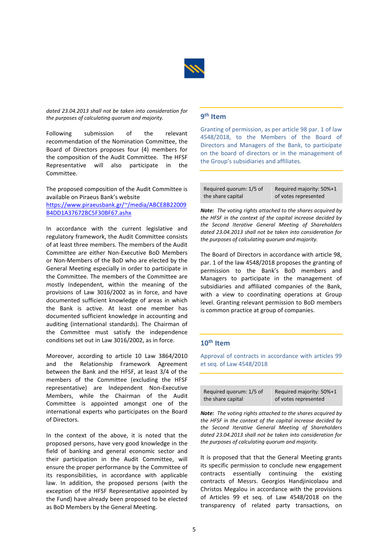

*dated 23.04.2013 shall not be taken into consideration for the purposes of calculating quorum and majority.*

Following submission of the relevant recommendation of the Nomination Committee, the Board of Directors proposes four (4) members for the composition of the Audit Committee. The HFSF Representative will also participate in the Committee.

The proposed composition of the Audit Committee is available on Piraeus Bank's website [https://www.piraeusbank.gr/~/media/ABCE8B22009](https://www.piraeusbank.gr/~/media/ABCE8B22009B4DD1A37672BC5F30BF67.ashx) [B4DD1A37672BC5F30BF67.ashx](https://www.piraeusbank.gr/~/media/ABCE8B22009B4DD1A37672BC5F30BF67.ashx)

In accordance with the current legislative and regulatory framework, the Audit Committee consists of at least three members. The members of the Audit Committee are either Non-Executive BoD Members or Non-Members of the BoD who are elected by the General Meeting especially in order to participate in the Committee. The members of the Committee are mostly Independent, within the meaning of the provisions of Law 3016/2002 as in force, and have documented sufficient knowledge of areas in which the Bank is active. At least one member has documented sufficient knowledge in accounting and auditing (international standards). The Chairman of the Committee must satisfy the independence conditions set out in Law 3016/2002, as in force.

Moreover, according to article 10 Law 3864/2010 and the Relationship Framework Agreement between the Bank and the HFSF, at least 3/4 of the members of the Committee (excluding the HFSF representative) are Independent Non-Executive Members, while the Chairman of the Audit Committee is appointed amongst one of the international experts who participates on the Board of Directors.

In the context of the above, it is noted that the proposed persons, have very good knowledge in the field of banking and general economic sector and their participation in the Audit Committee, will ensure the proper performance by the Committee of its responsibilities, in accordance with applicable law. In addition, the proposed persons (with the exception of the HFSF Representative appointed by the Fund) have already been proposed to be elected as BoD Members by the General Meeting.

# **9 th Item**

Granting of permission, as per article 98 par. 1 of law 4548/2018, to the Members of the Board of Directors and Managers of the Bank, to participate on the board of directors or in the management of the Group's subsidiaries and affiliates.

Required quorum: 1/5 of the share capital Required majority: 50%+1 of votes represented

*Note: The voting rights attached to the shares acquired by the HFSF in the context of the capital increase decided by the Second Iterative General Meeting of Shareholders dated 23.04.2013 shall not be taken into consideration for the purposes of calculating quorum and majority.*

The Board of Directors in accordance with article 98, par. 1 of the law 4548/2018 proposes the granting of permission to the Bank's BoD members and Managers to participate in the management of subsidiaries and affiliated companies of the Bank, with a view to coordinating operations at Group level. Granting relevant permission to BoD members is common practice at group of companies.

#### **10th Item**

Approval of contracts in accordance with articles 99 et seq. of Law 4548/2018

| Required guorum: 1/5 of | Required majority: 50%+1 |
|-------------------------|--------------------------|
|                         |                          |
| the share capital       | of votes represented     |

*Note: The voting rights attached to the shares acquired by the HFSF in the context of the capital increase decided by the Second Iterative General Meeting of Shareholders dated 23.04.2013 shall not be taken into consideration for the purposes of calculating quorum and majority.*

It is proposed that that the General Meeting grants its specific permission to conclude new engagement contracts essentially continuing the existing contracts of Messrs. Georgios Handjinicolaou and Christos Megalou in accordance with the provisions of Articles 99 et seq. of Law 4548/2018 on the transparency of related party transactions, on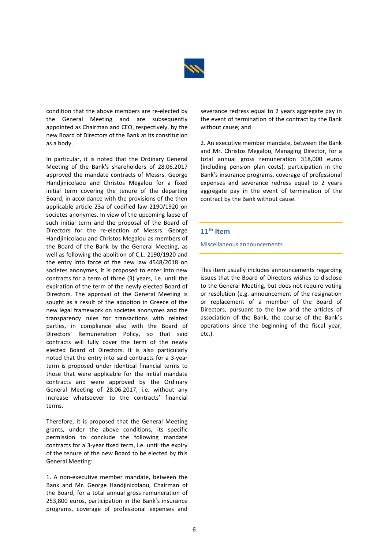

condition that the above members are re-elected by the General Meeting and are subsequently appointed as Chairman and CEO, respectively, by the new Board of Directors of the Bank at its constitution as a body.

In particular, it is noted that the Ordinary General Meeting of the Bank's shareholders of 28.06.2017 approved the mandate contracts of Messrs. George Handjinicolaou and Christos Megalou for a fixed initial term covering the tenure of the departing Board, in accordance with the provisions of the then applicable article 23a of codified law 2190/1920 on societes anonymes. In view of the upcoming lapse of such initial term and the proposal of the Board of Directors for the re-election of Messrs. George Handjinicolaou and Christos Megalou as members of the Board of the Bank by the General Meeting, as well as following the abolition of C.L. 2190/1920 and the entry into force of the new law 4548/2018 on societes anonymes, it is proposed to enter into new contracts for a term of three (3) years, i.e. until the expiration of the term of the newly elected Board of Directors. The approval of the General Meeting is sought as a result of the adoption in Greece of the new legal framework on societes anonymes and the transparency rules for transactions with related parties, in compliance also with the Board of Directors' Remuneration Policy, so that said contracts will fully cover the term of the newly elected Board of Directors. It is also particularly noted that the entry into said contracts for a 3-year term is proposed under identical financial terms to those that were applicable for the initial mandate contracts and were approved by the Ordinary General Meeting of 28.06.2017, i.e. without any increase whatsoever to the contracts' financial terms.

Therefore, it is proposed that the General Meeting grants, under the above conditions, its specific permission to conclude the following mandate contracts for a 3-year fixed term, i.e. until the expiry of the tenure of the new Board to be elected by this General Meeting:

1. A non-executive member mandate, between the Bank and Mr. George Handjinicolaou, Chairman of the Board, for a total annual gross remuneration of 253,800 euros, participation in the Bank's insurance programs, coverage of professional expenses and

severance redress equal to 2 years aggregate pay in the event of termination of the contract by the Bank without cause; and

2. An executive member mandate, between the Bank and Mr. Christos Megalou, Managing Director, for a total annual gross remuneration 318,000 euros (including pension plan costs), participation in the Bank's insurance programs, coverage of professional expenses and severance redress equal to 2 years aggregate pay in the event of termination of the contract by the Bank without cause.

### **11 th Item**

Miscellaneous announcements

This item usually includes announcements regarding issues that the Board of Directors wishes to disclose to the General Meeting, but does not require voting or resolution (e.g. announcement of the resignation or replacement of a member of the Board of Directors, pursuant to the law and the articles of association of the Bank, the course of the Bank's operations since the beginning of the fiscal year, etc.).